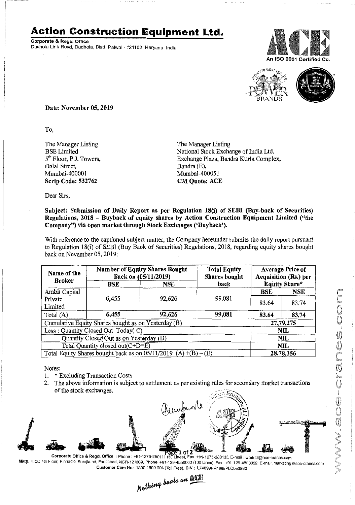## **Action Construction Equipment Ltd.**

Corporate & Regd. Office Dudhola Link Road, Dudhola, Distt. Palwal- 121102, Haryana, India





Date: November 05, 2019

To,

The Manager Listing BSE Limited 5<sup>th</sup> Floor, P.J. Towers, Dalal Street, Mumbai-400001 Scrip Code: 532762

The Manager Listing National Stock Exchange of India Ltd. Exchange Plaza, Bandra Kurla Complex, Bandra (E), Mumbai-400051 CM Quote: ACE

Dear Sirs,

## Subject: Submission of Daily Report as per Regulation 18(i) of SEBI (Buy-back of Securities) Regulations, 2018 - Buyback of equity shares by Action Construction Equipment Limited ("the Company") via open market through Stock Exchanges ('Duyback').

With reference to the captioned subject matter, the Company hereunder submits the daily report pursuant to Regulation 18(i) of SEBI (Buy Back of Securities) Regulations, 2018, regarding equity shares bought back on November 05,2019:

| Name of the<br><b>Broker</b>                                        | <b>Number of Equity Shares Bought</b><br>Back on (05/11/2019) |        | <b>Total Equity</b><br><b>Shares</b> bought | <b>Average Price of</b><br>Acquisition (Rs.) per |           |  |
|---------------------------------------------------------------------|---------------------------------------------------------------|--------|---------------------------------------------|--------------------------------------------------|-----------|--|
|                                                                     | BSE                                                           | NSE    | back                                        | <b>Equity Share*</b>                             |           |  |
| Ambit Capital                                                       |                                                               |        |                                             | <b>BSE</b>                                       | NSE       |  |
| Private                                                             | 6,455                                                         | 92,626 | 99,081                                      | 83.64                                            | 83.74     |  |
| Limited                                                             |                                                               |        |                                             |                                                  |           |  |
| Total (A)                                                           | 6,455                                                         | 92,626 | 99,081                                      | 83.64                                            | 83.74     |  |
| Cumulative Equity Shares bought as on Yesterday (B)                 |                                                               |        |                                             |                                                  | 27,79,275 |  |
| Less: Quantity Closed Out Today(C)                                  |                                                               |        |                                             |                                                  | NIL       |  |
| Quantity Closed Out as on Yesterday (D)                             |                                                               |        |                                             |                                                  | NIL       |  |
| Total Quantity closed out(C+D=E)                                    |                                                               |        |                                             |                                                  | NIL       |  |
| Total Equity Shares bought back as on $05/11/2019$ (A) $+(B) - (E)$ |                                                               |        |                                             | 28,78,356                                        |           |  |

Notes:

- 1. \* Excluding Transaction Costs
- 2. The above information is subject to settlement as per existing rules for secondary market transactions of the stock exchanges.



Corporate Office & Regd. Office: Phone: +91-1275-280111 (50 Lines), Fax: +91-1275-280133, E-mail ; works2@ace-cranes.com Mktg. H.Q.: 4th Floor, Pinnacle, Surajkund, Faridabad, NCR-121009, Phone: +91-129-4550000 (100 Lines). Fax: +91-129-4550022, E·mail: marketing@ace-cranes,com Customer Care No.: 1800 1800 004 (TollFree), CIN: L74899HR1995PLC053860

Nothing beats an ACE